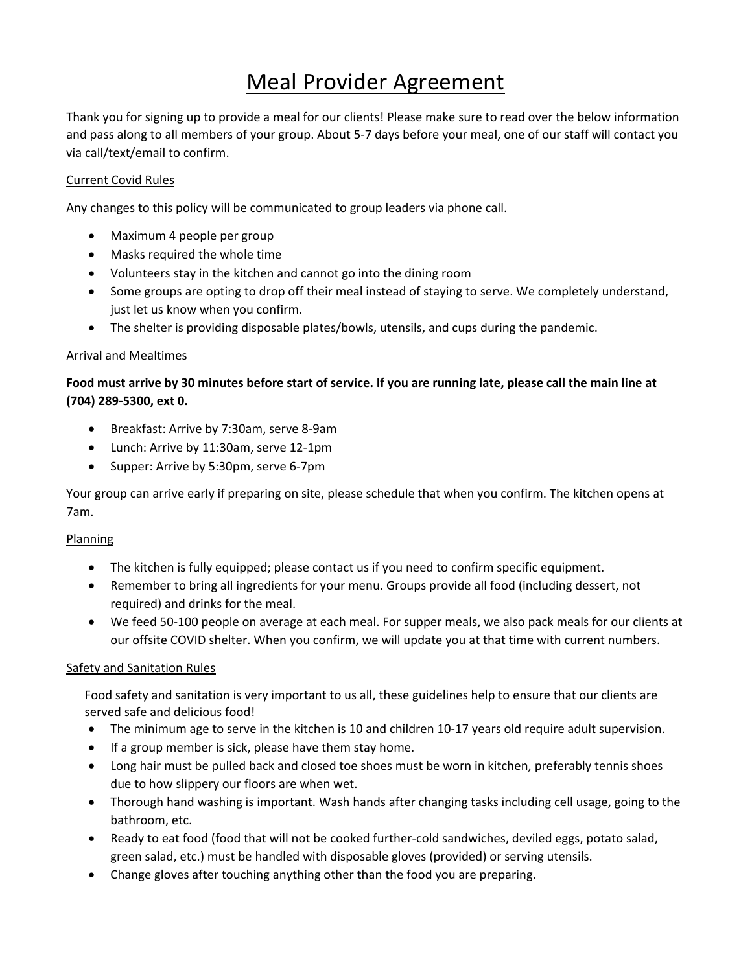# Meal Provider Agreement

Thank you for signing up to provide a meal for our clients! Please make sure to read over the below information and pass along to all members of your group. About 5‐7 days before your meal, one of our staff will contact you via call/text/email to confirm.

## Current Covid Rules

Any changes to this policy will be communicated to group leaders via phone call.

- Maximum 4 people per group
- Masks required the whole time
- Volunteers stay in the kitchen and cannot go into the dining room
- Some groups are opting to drop off their meal instead of staying to serve. We completely understand, just let us know when you confirm.
- The shelter is providing disposable plates/bowls, utensils, and cups during the pandemic.

#### Arrival and Mealtimes

## Food must arrive by 30 minutes before start of service. If you are running late, please call the main line at **(704) 289‐5300, ext 0.**

- Breakfast: Arrive by 7:30am, serve 8-9am
- Lunch: Arrive by 11:30am, serve 12‐1pm
- Supper: Arrive by 5:30pm, serve 6-7pm

Your group can arrive early if preparing on site, please schedule that when you confirm. The kitchen opens at 7am.

#### Planning

- The kitchen is fully equipped; please contact us if you need to confirm specific equipment.
- Remember to bring all ingredients for your menu. Groups provide all food (including dessert, not required) and drinks for the meal.
- We feed 50‐100 people on average at each meal. For supper meals, we also pack meals for our clients at our offsite COVID shelter. When you confirm, we will update you at that time with current numbers.

#### Safety and Sanitation Rules

Food safety and sanitation is very important to us all, these guidelines help to ensure that our clients are served safe and delicious food!

- The minimum age to serve in the kitchen is 10 and children 10‐17 years old require adult supervision.
- If a group member is sick, please have them stay home.
- Long hair must be pulled back and closed toe shoes must be worn in kitchen, preferably tennis shoes due to how slippery our floors are when wet.
- Thorough hand washing is important. Wash hands after changing tasks including cell usage, going to the bathroom, etc.
- Ready to eat food (food that will not be cooked further‐cold sandwiches, deviled eggs, potato salad, green salad, etc.) must be handled with disposable gloves (provided) or serving utensils.
- Change gloves after touching anything other than the food you are preparing.